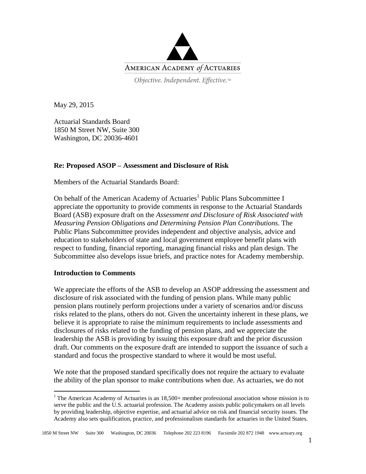

Objective. Independent. Effective.™

May 29, 2015

Actuarial Standards Board 1850 M Street NW, Suite 300 Washington, DC 20036-4601

## **Re: Proposed ASOP – Assessment and Disclosure of Risk**

Members of the Actuarial Standards Board:

On behalf of the American Academy of Actuaries<sup>1</sup> Public Plans Subcommittee I appreciate the opportunity to provide comments in response to the Actuarial Standards Board (ASB) exposure draft on the *Assessment and Disclosure of Risk Associated with Measuring Pension Obligations and Determining Pension Plan Contributions*. The Public Plans Subcommittee provides independent and objective analysis, advice and education to stakeholders of state and local government employee benefit plans with respect to funding, financial reporting, managing financial risks and plan design. The Subcommittee also develops issue briefs, and practice notes for Academy membership.

## **Introduction to Comments**

 $\overline{a}$ 

We appreciate the efforts of the ASB to develop an ASOP addressing the assessment and disclosure of risk associated with the funding of pension plans. While many public pension plans routinely perform projections under a variety of scenarios and/or discuss risks related to the plans, others do not. Given the uncertainty inherent in these plans, we believe it is appropriate to raise the minimum requirements to include assessments and disclosures of risks related to the funding of pension plans, and we appreciate the leadership the ASB is providing by issuing this exposure draft and the prior discussion draft. Our comments on the exposure draft are intended to support the issuance of such a standard and focus the prospective standard to where it would be most useful.

We note that the proposed standard specifically does not require the actuary to evaluate the ability of the plan sponsor to make contributions when due. As actuaries, we do not

 $1$  The American Academy of Actuaries is an  $18,500+$  member professional association whose mission is to serve the public and the U.S. actuarial profession. The Academy assists public policymakers on all levels by providing leadership, objective expertise, and actuarial advice on risk and financial security issues. The Academy also sets qualification, practice, and professionalism standards for actuaries in the United States.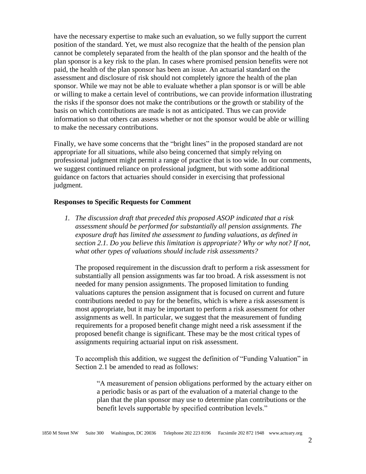have the necessary expertise to make such an evaluation, so we fully support the current position of the standard. Yet, we must also recognize that the health of the pension plan cannot be completely separated from the health of the plan sponsor and the health of the plan sponsor is a key risk to the plan. In cases where promised pension benefits were not paid, the health of the plan sponsor has been an issue. An actuarial standard on the assessment and disclosure of risk should not completely ignore the health of the plan sponsor. While we may not be able to evaluate whether a plan sponsor is or will be able or willing to make a certain level of contributions, we can provide information illustrating the risks if the sponsor does not make the contributions or the growth or stability of the basis on which contributions are made is not as anticipated. Thus we can provide information so that others can assess whether or not the sponsor would be able or willing to make the necessary contributions.

Finally, we have some concerns that the "bright lines" in the proposed standard are not appropriate for all situations, while also being concerned that simply relying on professional judgment might permit a range of practice that is too wide. In our comments, we suggest continued reliance on professional judgment, but with some additional guidance on factors that actuaries should consider in exercising that professional judgment.

## **Responses to Specific Requests for Comment**

*1. The discussion draft that preceded this proposed ASOP indicated that a risk assessment should be performed for substantially all pension assignments. The exposure draft has limited the assessment to funding valuations, as defined in section 2.1. Do you believe this limitation is appropriate? Why or why not? If not, what other types of valuations should include risk assessments?*

The proposed requirement in the discussion draft to perform a risk assessment for substantially all pension assignments was far too broad. A risk assessment is not needed for many pension assignments. The proposed limitation to funding valuations captures the pension assignment that is focused on current and future contributions needed to pay for the benefits, which is where a risk assessment is most appropriate, but it may be important to perform a risk assessment for other assignments as well. In particular, we suggest that the measurement of funding requirements for a proposed benefit change might need a risk assessment if the proposed benefit change is significant. These may be the most critical types of assignments requiring actuarial input on risk assessment.

To accomplish this addition, we suggest the definition of "Funding Valuation" in Section 2.1 be amended to read as follows:

"A measurement of pension obligations performed by the actuary either on a periodic basis or as part of the evaluation of a material change to the plan that the plan sponsor may use to determine plan contributions or the benefit levels supportable by specified contribution levels."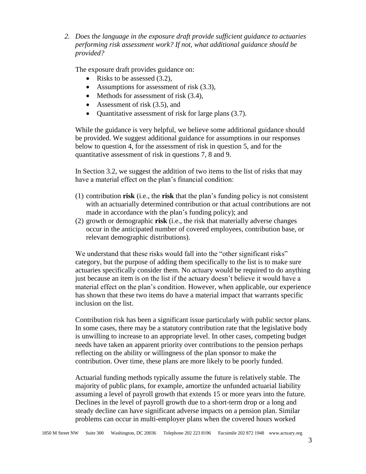*2. Does the language in the exposure draft provide sufficient guidance to actuaries performing risk assessment work? If not, what additional guidance should be provided?*

The exposure draft provides guidance on:

- Risks to be assessed  $(3.2)$ ,
- Assumptions for assessment of risk  $(3.3)$ ,
- $\bullet$  Methods for assessment of risk (3.4),
- Assessment of risk (3.5), and
- Quantitative assessment of risk for large plans (3.7).

While the guidance is very helpful, we believe some additional guidance should be provided. We suggest additional guidance for assumptions in our responses below to question 4, for the assessment of risk in question 5, and for the quantitative assessment of risk in questions 7, 8 and 9.

In Section 3.2, we suggest the addition of two items to the list of risks that may have a material effect on the plan's financial condition:

- (1) contribution **risk** (i.e., the **risk** that the plan's funding policy is not consistent with an actuarially determined contribution or that actual contributions are not made in accordance with the plan's funding policy); and
- (2) growth or demographic **risk** (i.e., the risk that materially adverse changes occur in the anticipated number of covered employees, contribution base, or relevant demographic distributions).

We understand that these risks would fall into the "other significant risks" category, but the purpose of adding them specifically to the list is to make sure actuaries specifically consider them. No actuary would be required to do anything just because an item is on the list if the actuary doesn't believe it would have a material effect on the plan's condition. However, when applicable, our experience has shown that these two items do have a material impact that warrants specific inclusion on the list.

Contribution risk has been a significant issue particularly with public sector plans. In some cases, there may be a statutory contribution rate that the legislative body is unwilling to increase to an appropriate level. In other cases, competing budget needs have taken an apparent priority over contributions to the pension perhaps reflecting on the ability or willingness of the plan sponsor to make the contribution. Over time, these plans are more likely to be poorly funded.

Actuarial funding methods typically assume the future is relatively stable. The majority of public plans, for example, amortize the unfunded actuarial liability assuming a level of payroll growth that extends 15 or more years into the future. Declines in the level of payroll growth due to a short-term drop or a long and steady decline can have significant adverse impacts on a pension plan. Similar problems can occur in multi-employer plans when the covered hours worked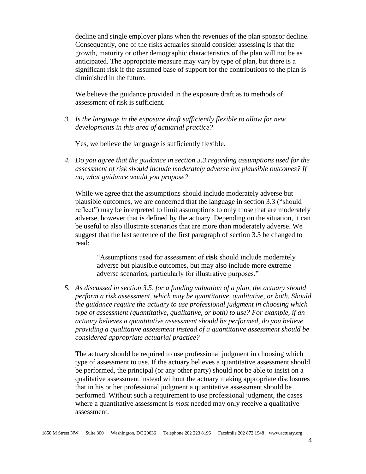decline and single employer plans when the revenues of the plan sponsor decline. Consequently, one of the risks actuaries should consider assessing is that the growth, maturity or other demographic characteristics of the plan will not be as anticipated. The appropriate measure may vary by type of plan, but there is a significant risk if the assumed base of support for the contributions to the plan is diminished in the future.

We believe the guidance provided in the exposure draft as to methods of assessment of risk is sufficient.

*3. Is the language in the exposure draft sufficiently flexible to allow for new developments in this area of actuarial practice?*

Yes, we believe the language is sufficiently flexible.

*4. Do you agree that the guidance in section 3.3 regarding assumptions used for the assessment of risk should include moderately adverse but plausible outcomes? If no, what guidance would you propose?*

While we agree that the assumptions should include moderately adverse but plausible outcomes, we are concerned that the language in section 3.3 ("should reflect") may be interpreted to limit assumptions to only those that are moderately adverse, however that is defined by the actuary. Depending on the situation, it can be useful to also illustrate scenarios that are more than moderately adverse. We suggest that the last sentence of the first paragraph of section 3.3 be changed to read:

"Assumptions used for assessment of **risk** should include moderately adverse but plausible outcomes, but may also include more extreme adverse scenarios, particularly for illustrative purposes."

*5. As discussed in section 3.5, for a funding valuation of a plan, the actuary should perform a risk assessment, which may be quantitative, qualitative, or both. Should the guidance require the actuary to use professional judgment in choosing which type of assessment (quantitative, qualitative, or both) to use? For example, if an actuary believes a quantitative assessment should be performed, do you believe providing a qualitative assessment instead of a quantitative assessment should be considered appropriate actuarial practice?*

The actuary should be required to use professional judgment in choosing which type of assessment to use. If the actuary believes a quantitative assessment should be performed, the principal (or any other party) should not be able to insist on a qualitative assessment instead without the actuary making appropriate disclosures that in his or her professional judgment a quantitative assessment should be performed. Without such a requirement to use professional judgment, the cases where a quantitative assessment is *most* needed may only receive a qualitative assessment.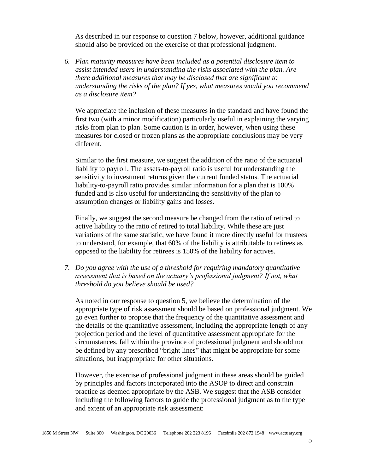As described in our response to question 7 below, however, additional guidance should also be provided on the exercise of that professional judgment.

*6. Plan maturity measures have been included as a potential disclosure item to assist intended users in understanding the risks associated with the plan. Are there additional measures that may be disclosed that are significant to understanding the risks of the plan? If yes, what measures would you recommend as a disclosure item?*

We appreciate the inclusion of these measures in the standard and have found the first two (with a minor modification) particularly useful in explaining the varying risks from plan to plan. Some caution is in order, however, when using these measures for closed or frozen plans as the appropriate conclusions may be very different.

Similar to the first measure, we suggest the addition of the ratio of the actuarial liability to payroll. The assets-to-payroll ratio is useful for understanding the sensitivity to investment returns given the current funded status. The actuarial liability-to-payroll ratio provides similar information for a plan that is 100% funded and is also useful for understanding the sensitivity of the plan to assumption changes or liability gains and losses.

Finally, we suggest the second measure be changed from the ratio of retired to active liability to the ratio of retired to total liability. While these are just variations of the same statistic, we have found it more directly useful for trustees to understand, for example, that 60% of the liability is attributable to retirees as opposed to the liability for retirees is 150% of the liability for actives.

*7. Do you agree with the use of a threshold for requiring mandatory quantitative*  assessment that is based on the actuary's professional judgment? If not, what *threshold do you believe should be used?*

As noted in our response to question 5, we believe the determination of the appropriate type of risk assessment should be based on professional judgment. We go even further to propose that the frequency of the quantitative assessment and the details of the quantitative assessment, including the appropriate length of any projection period and the level of quantitative assessment appropriate for the circumstances, fall within the province of professional judgment and should not be defined by any prescribed "bright lines" that might be appropriate for some situations, but inappropriate for other situations.

However, the exercise of professional judgment in these areas should be guided by principles and factors incorporated into the ASOP to direct and constrain practice as deemed appropriate by the ASB. We suggest that the ASB consider including the following factors to guide the professional judgment as to the type and extent of an appropriate risk assessment: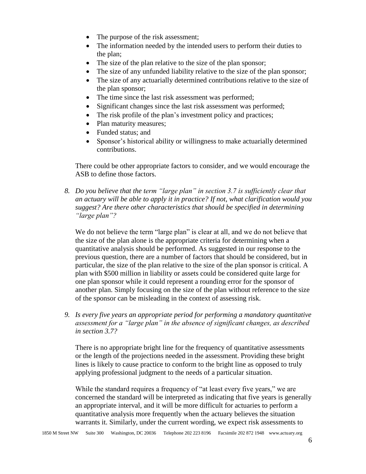- The purpose of the risk assessment;
- The information needed by the intended users to perform their duties to the plan;
- The size of the plan relative to the size of the plan sponsor;
- The size of any unfunded liability relative to the size of the plan sponsor;
- The size of any actuarially determined contributions relative to the size of the plan sponsor;
- The time since the last risk assessment was performed;
- Significant changes since the last risk assessment was performed;
- The risk profile of the plan's investment policy and practices;
- Plan maturity measures:
- Funded status: and
- Sponsor's historical ability or willingness to make actuarially determined contributions.

There could be other appropriate factors to consider, and we would encourage the ASB to define those factors.

*8. Do you believe that the term "large plan" in section 3.7 is sufficiently clear that an actuary will be able to apply it in practice? If not, what clarification would you suggest? Are there other characteristics that should be specified in determining "large plan"?*

We do not believe the term "large plan" is clear at all, and we do not believe that the size of the plan alone is the appropriate criteria for determining when a quantitative analysis should be performed. As suggested in our response to the previous question, there are a number of factors that should be considered, but in particular, the size of the plan relative to the size of the plan sponsor is critical. A plan with \$500 million in liability or assets could be considered quite large for one plan sponsor while it could represent a rounding error for the sponsor of another plan. Simply focusing on the size of the plan without reference to the size of the sponsor can be misleading in the context of assessing risk.

*9. Is every five years an appropriate period for performing a mandatory quantitative assessment for a "large plan" in the absence of significant changes, as described in section 3.7?*

There is no appropriate bright line for the frequency of quantitative assessments or the length of the projections needed in the assessment. Providing these bright lines is likely to cause practice to conform to the bright line as opposed to truly applying professional judgment to the needs of a particular situation.

While the standard requires a frequency of "at least every five years," we are concerned the standard will be interpreted as indicating that five years is generally an appropriate interval, and it will be more difficult for actuaries to perform a quantitative analysis more frequently when the actuary believes the situation warrants it. Similarly, under the current wording, we expect risk assessments to